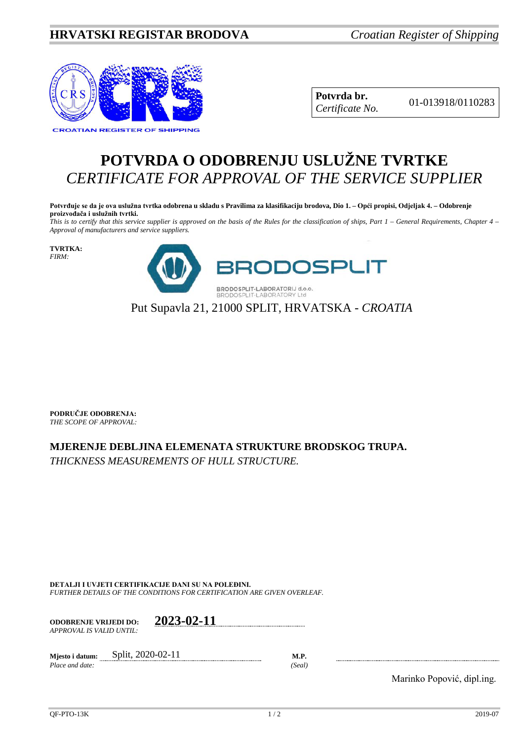## **HRVATSKI REGISTAR BRODOVA** *Croatian Register of Shipping*



**Potvrda br.** 01-013918/0110283 *Certificate No.*

## **POTVRDA O ODOBRENJU USLUŽNE TVRTKE** *CERTIFICATE FOR APPROVAL OF THE SERVICE SUPPLIER*

**Potvrđuje se da je ova uslužna tvrtka odobrena u skladu s Pravilima za klasifikaciju brodova, Dio 1. – Opći propisi, Odjeljak 4. – Odobrenje proizvođača i uslužnih tvrtki.**

*This is to certify that this service supplier is approved on the basis of the Rules for the classification of ships, Part 1 – General Requirements, Chapter 4 – Approval of manufacturers and service suppliers.*

**TVRTKA:** *FIRM:*



Put Supavla 21, 21000 SPLIT, HRVATSKA - *CROATIA*

**PODRUČJE ODOBRENJA:** *THE SCOPE OF APPROVAL:*

## **MJERENJE DEBLJINA ELEMENATA STRUKTURE BRODSKOG TRUPA.**

*THICKNESS MEASUREMENTS OF HULL STRUCTURE.*

**DETALJI I UVJETI CERTIFIKACIJE DANI SU NA POLEĐINI.** *FURTHER DETAILS OF THE CONDITIONS FOR CERTIFICATION ARE GIVEN OVERLEAF.*

**ODOBRENJE VRIJEDI DO: 2023-02-11** *APPROVAL IS VALID UNTIL:*

**Mjesto i datum:** Split, 2020-02-11 **M.P.**<br>*Place and date:* (Seal)  $Place$  *and date:* 

Marinko Popović, dipl.ing.